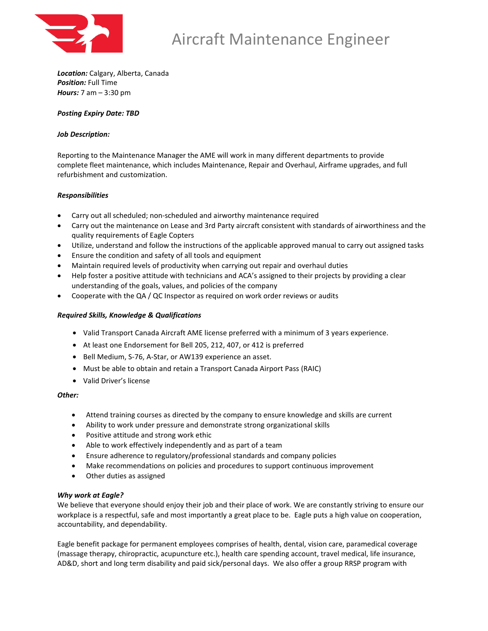

*Location:* Calgary, Alberta, Canada *Position:* Full Time *Hours:* 7 am – 3:30 pm

# *Posting Expiry Date: TBD*

### *Job Description:*

Reporting to the Maintenance Manager the AME will work in many different departments to provide complete fleet maintenance, which includes Maintenance, Repair and Overhaul, Airframe upgrades, and full refurbishment and customization.

### *Responsibilities*

- Carry out all scheduled; non-scheduled and airworthy maintenance required
- Carry out the maintenance on Lease and 3rd Party aircraft consistent with standards of airworthiness and the quality requirements of Eagle Copters
- Utilize, understand and follow the instructions of the applicable approved manual to carry out assigned tasks
- Ensure the condition and safety of all tools and equipment
- Maintain required levels of productivity when carrying out repair and overhaul duties
- Help foster a positive attitude with technicians and ACA's assigned to their projects by providing a clear understanding of the goals, values, and policies of the company
- Cooperate with the QA / QC Inspector as required on work order reviews or audits

# *Required Skills, Knowledge & Qualifications*

- Valid Transport Canada Aircraft AME license preferred with a minimum of 3 years experience.
- At least one Endorsement for Bell 205, 212, 407, or 412 is preferred
- Bell Medium, S-76, A-Star, or AW139 experience an asset.
- Must be able to obtain and retain a Transport Canada Airport Pass (RAIC)
- Valid Driver's license

#### *Other:*

- Attend training courses as directed by the company to ensure knowledge and skills are current
- Ability to work under pressure and demonstrate strong organizational skills
- Positive attitude and strong work ethic
- Able to work effectively independently and as part of a team
- Ensure adherence to regulatory/professional standards and company policies
- Make recommendations on policies and procedures to support continuous improvement
- Other duties as assigned

#### *Why work at Eagle?*

We believe that everyone should enjoy their job and their place of work. We are constantly striving to ensure our workplace is a respectful, safe and most importantly a great place to be. Eagle puts a high value on cooperation, accountability, and dependability.

Eagle benefit package for permanent employees comprises of health, dental, vision care, paramedical coverage (massage therapy, chiropractic, acupuncture etc.), health care spending account, travel medical, life insurance, AD&D, short and long term disability and paid sick/personal days. We also offer a group RRSP program with